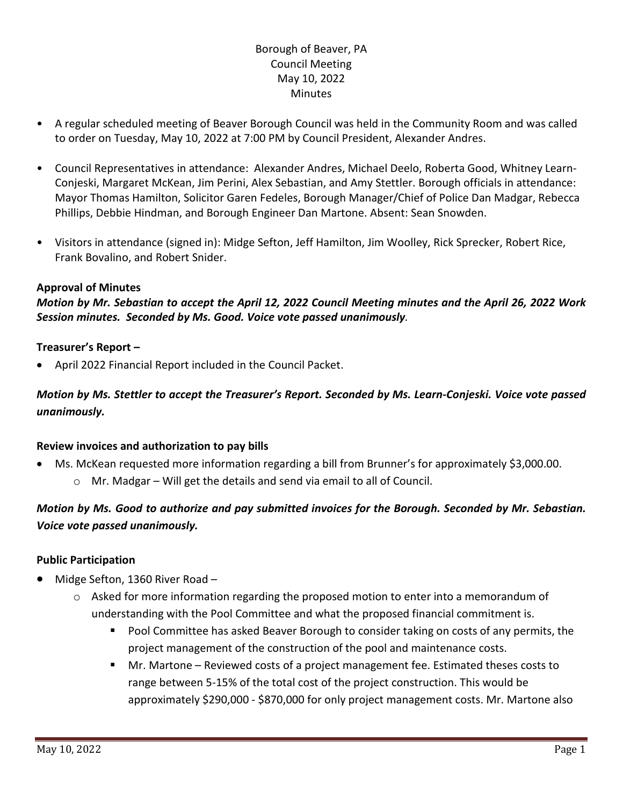## Borough of Beaver, PA Council Meeting May 10, 2022 **Minutes**

- A regular scheduled meeting of Beaver Borough Council was held in the Community Room and was called to order on Tuesday, May 10, 2022 at 7:00 PM by Council President, Alexander Andres.
- Council Representatives in attendance: Alexander Andres, Michael Deelo, Roberta Good, Whitney Learn-Conjeski, Margaret McKean, Jim Perini, Alex Sebastian, and Amy Stettler. Borough officials in attendance: Mayor Thomas Hamilton, Solicitor Garen Fedeles, Borough Manager/Chief of Police Dan Madgar, Rebecca Phillips, Debbie Hindman, and Borough Engineer Dan Martone. Absent: Sean Snowden.
- Visitors in attendance (signed in): Midge Sefton, Jeff Hamilton, Jim Woolley, Rick Sprecker, Robert Rice, Frank Bovalino, and Robert Snider.

#### **Approval of Minutes**

*Motion by Mr. Sebastian to accept the April 12, 2022 Council Meeting minutes and the April 26, 2022 Work Session minutes. Seconded by Ms. Good. Voice vote passed unanimously.* 

#### **Treasurer's Report –**

• April 2022 Financial Report included in the Council Packet.

## *Motion by Ms. Stettler to accept the Treasurer's Report. Seconded by Ms. Learn-Conjeski. Voice vote passed unanimously.*

#### **Review invoices and authorization to pay bills**

- Ms. McKean requested more information regarding a bill from Brunner's for approximately \$3,000.00.
	- o Mr. Madgar Will get the details and send via email to all of Council.

# *Motion by Ms. Good to authorize and pay submitted invoices for the Borough. Seconded by Mr. Sebastian. Voice vote passed unanimously.*

### **Public Participation**

- Midge Sefton, 1360 River Road
	- $\circ$  Asked for more information regarding the proposed motion to enter into a memorandum of understanding with the Pool Committee and what the proposed financial commitment is.
		- **Pool Committee has asked Beaver Borough to consider taking on costs of any permits, the** project management of the construction of the pool and maintenance costs.
		- Mr. Martone Reviewed costs of a project management fee. Estimated theses costs to range between 5-15% of the total cost of the project construction. This would be approximately \$290,000 - \$870,000 for only project management costs. Mr. Martone also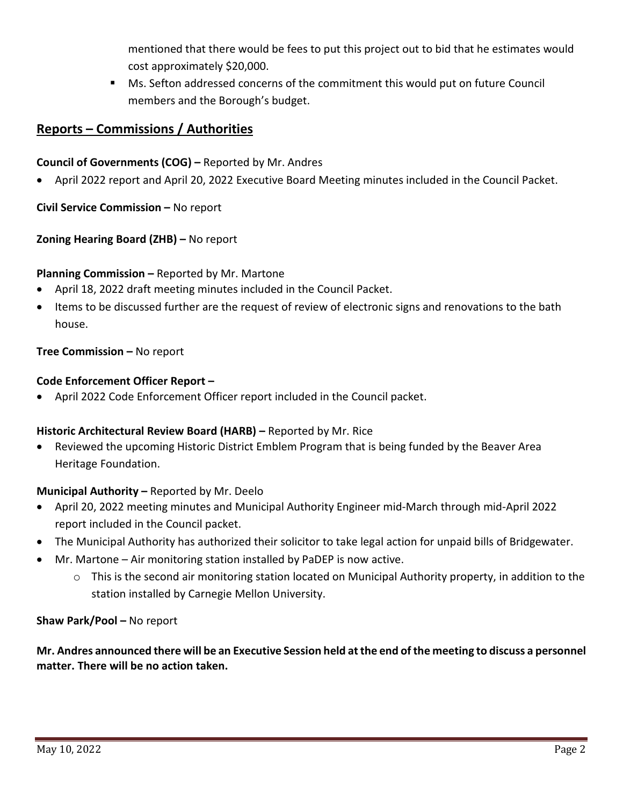mentioned that there would be fees to put this project out to bid that he estimates would cost approximately \$20,000.

 Ms. Sefton addressed concerns of the commitment this would put on future Council members and the Borough's budget.

# **Reports – Commissions / Authorities**

**Council of Governments (COG) –** Reported by Mr. Andres

• April 2022 report and April 20, 2022 Executive Board Meeting minutes included in the Council Packet.

**Civil Service Commission –** No report

## **Zoning Hearing Board (ZHB) –** No report

### **Planning Commission –** Reported by Mr. Martone

- April 18, 2022 draft meeting minutes included in the Council Packet.
- Items to be discussed further are the request of review of electronic signs and renovations to the bath house.

## **Tree Commission –** No report

### **Code Enforcement Officer Report –**

• April 2022 Code Enforcement Officer report included in the Council packet.

### **Historic Architectural Review Board (HARB) –** Reported by Mr. Rice

• Reviewed the upcoming Historic District Emblem Program that is being funded by the Beaver Area Heritage Foundation.

### **Municipal Authority –** Reported by Mr. Deelo

- April 20, 2022 meeting minutes and Municipal Authority Engineer mid-March through mid-April 2022 report included in the Council packet.
- The Municipal Authority has authorized their solicitor to take legal action for unpaid bills of Bridgewater.
- Mr. Martone Air monitoring station installed by PaDEP is now active.
	- o This is the second air monitoring station located on Municipal Authority property, in addition to the station installed by Carnegie Mellon University.

### **Shaw Park/Pool –** No report

**Mr. Andres announced there will be an Executive Session held at the end of the meeting to discuss a personnel matter. There will be no action taken.**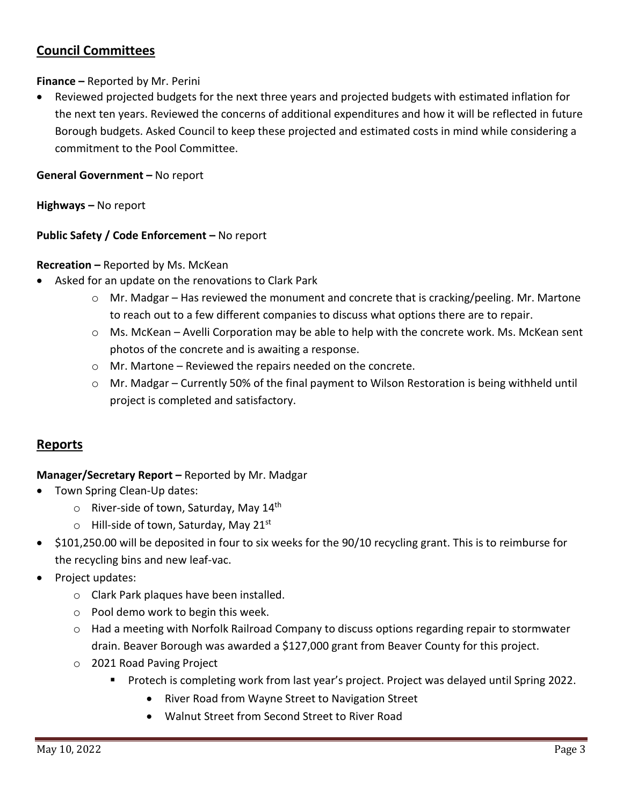# **Council Committees**

### **Finance –** Reported by Mr. Perini

• Reviewed projected budgets for the next three years and projected budgets with estimated inflation for the next ten years. Reviewed the concerns of additional expenditures and how it will be reflected in future Borough budgets. Asked Council to keep these projected and estimated costs in mind while considering a commitment to the Pool Committee.

### **General Government –** No report

**Highways –** No report

### **Public Safety / Code Enforcement –** No report

#### **Recreation –** Reported by Ms. McKean

- Asked for an update on the renovations to Clark Park
	- $\circ$  Mr. Madgar Has reviewed the monument and concrete that is cracking/peeling. Mr. Martone to reach out to a few different companies to discuss what options there are to repair.
	- $\circ$  Ms. McKean Avelli Corporation may be able to help with the concrete work. Ms. McKean sent photos of the concrete and is awaiting a response.
	- o Mr. Martone Reviewed the repairs needed on the concrete.
	- $\circ$  Mr. Madgar Currently 50% of the final payment to Wilson Restoration is being withheld until project is completed and satisfactory.

## **Reports**

### **Manager/Secretary Report –** Reported by Mr. Madgar

- Town Spring Clean-Up dates:
	- $\circ$  River-side of town, Saturday, May 14<sup>th</sup>
	- $\circ$  Hill-side of town, Saturday, May 21st
- \$101,250.00 will be deposited in four to six weeks for the 90/10 recycling grant. This is to reimburse for the recycling bins and new leaf-vac.
- Project updates:
	- o Clark Park plaques have been installed.
	- o Pool demo work to begin this week.
	- $\circ$  Had a meeting with Norfolk Railroad Company to discuss options regarding repair to stormwater drain. Beaver Borough was awarded a \$127,000 grant from Beaver County for this project.
	- o 2021 Road Paving Project
		- **Protech is completing work from last year's project. Project was delayed until Spring 2022.** 
			- River Road from Wayne Street to Navigation Street
			- Walnut Street from Second Street to River Road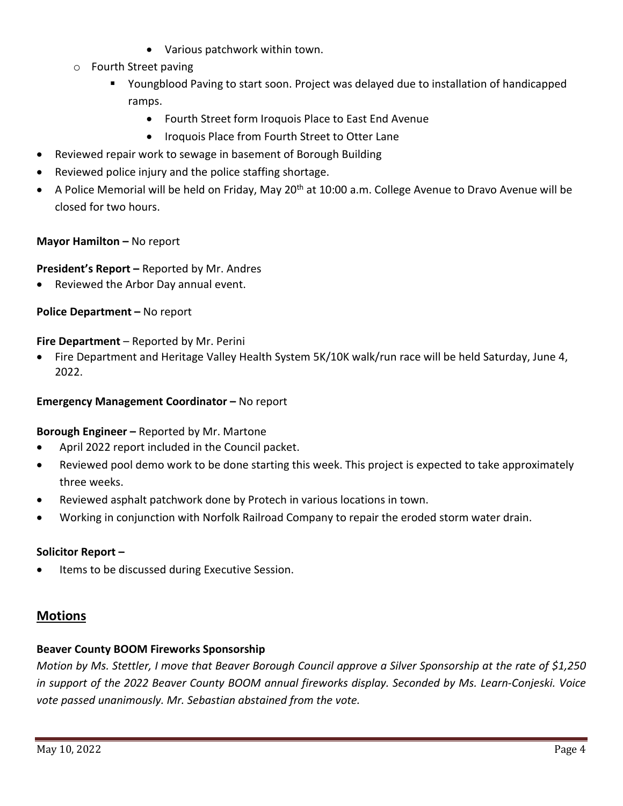- Various patchwork within town.
- o Fourth Street paving
	- Youngblood Paving to start soon. Project was delayed due to installation of handicapped ramps.
		- Fourth Street form Iroquois Place to East End Avenue
		- Iroquois Place from Fourth Street to Otter Lane
- Reviewed repair work to sewage in basement of Borough Building
- Reviewed police injury and the police staffing shortage.
- A Police Memorial will be held on Friday, May 20<sup>th</sup> at 10:00 a.m. College Avenue to Dravo Avenue will be closed for two hours.

### **Mayor Hamilton –** No report

**President's Report –** Reported by Mr. Andres

• Reviewed the Arbor Day annual event.

**Police Department –** No report

**Fire Department** – Reported by Mr. Perini

• Fire Department and Heritage Valley Health System 5K/10K walk/run race will be held Saturday, June 4, 2022.

#### **Emergency Management Coordinator –** No report

**Borough Engineer –** Reported by Mr. Martone

- April 2022 report included in the Council packet.
- Reviewed pool demo work to be done starting this week. This project is expected to take approximately three weeks.
- Reviewed asphalt patchwork done by Protech in various locations in town.
- Working in conjunction with Norfolk Railroad Company to repair the eroded storm water drain.

### **Solicitor Report –**

Items to be discussed during Executive Session.

### **Motions**

### **Beaver County BOOM Fireworks Sponsorship**

*Motion by Ms. Stettler, I move that Beaver Borough Council approve a Silver Sponsorship at the rate of \$1,250 in support of the 2022 Beaver County BOOM annual fireworks display. Seconded by Ms. Learn-Conjeski. Voice vote passed unanimously. Mr. Sebastian abstained from the vote.*